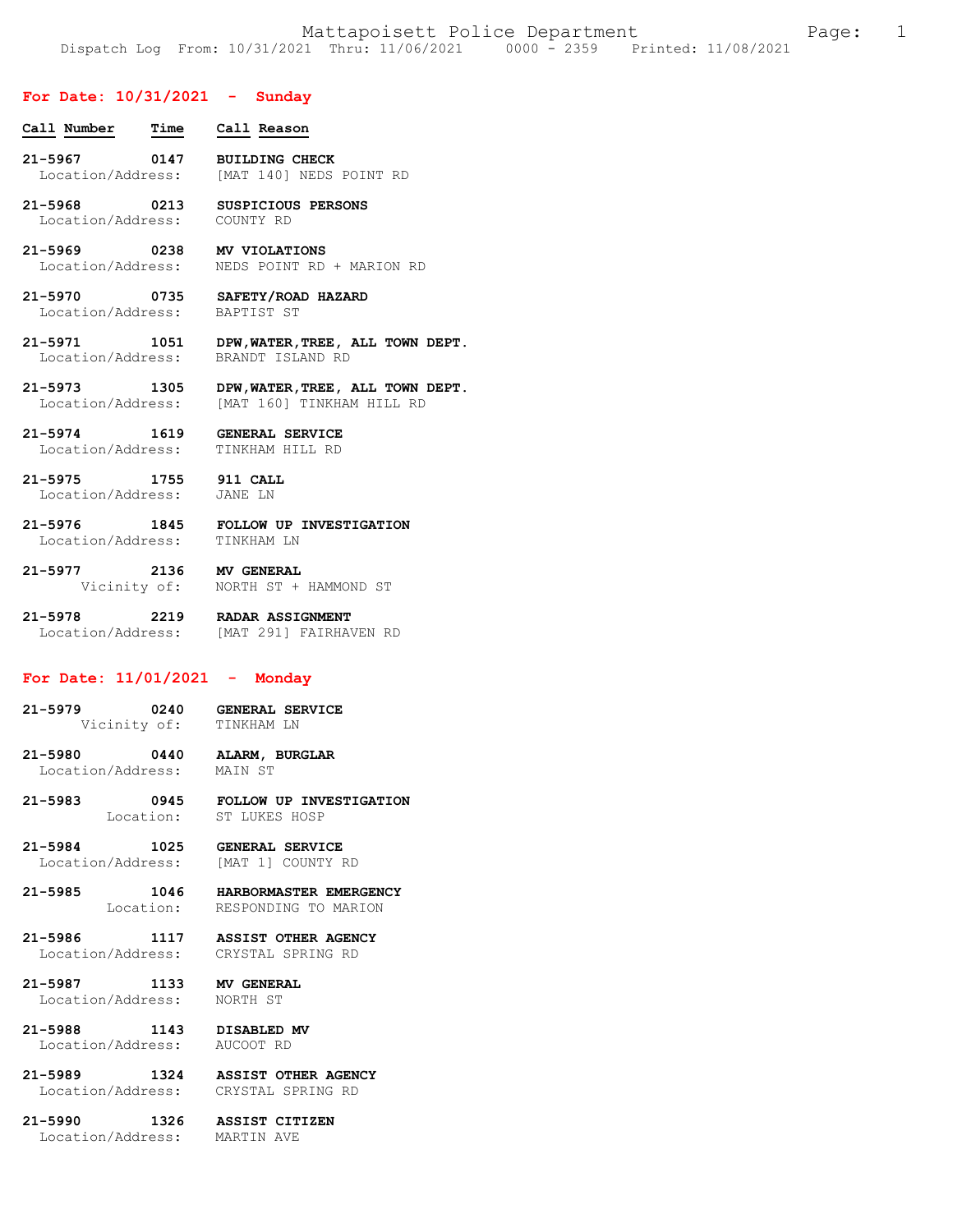## **For Date: 10/31/2021 - Sunday**

| Call Number  Time  Call Reason |                                                                                              |
|--------------------------------|----------------------------------------------------------------------------------------------|
|                                | 21-5967 0147 BUILDING CHECK<br>Location/Address: [MAT 140] NEDS POINT RD                     |
| Location/Address: COUNTY RD    | 21-5968 0213 SUSPICIOUS PERSONS                                                              |
|                                | 21-5969 0238 MV VIOLATIONS<br>Location/Address: NEDS POINT RD + MARION RD                    |
| Location/Address: BAPTIST ST   | 21-5970 0735 SAFETY/ROAD HAZARD                                                              |
|                                | 21-5971 1051 DPW, WATER, TREE, ALL TOWN DEPT.<br>Location/Address: BRANDT ISLAND RD          |
|                                | 21-5973 1305 DPW, WATER, TREE, ALL TOWN DEPT.<br>Location/Address: [MAT 160] TINKHAM HILL RD |
|                                | 21-5974 1619 GENERAL SERVICE<br>Location/Address: TINKHAM HILL RD                            |

**21-5975 1755 911 CALL**  Location/Address: JANE LN

**21-5976 1845 FOLLOW UP INVESTIGATION**  Location/Address: TINKHAM LN

**21-5977 2136 MV GENERAL**  Vicinity of: NORTH ST + HAMMOND ST

**21-5978 2219 RADAR ASSIGNMENT**  Location/Address: [MAT 291] FAIRHAVEN RD

# **For Date: 11/01/2021 - Monday**

| $21 - 5979$ |              | 0240 | <b>GENERAL SERVICE</b> |  |
|-------------|--------------|------|------------------------|--|
|             | Vicinity of: |      | TINKHAM LN             |  |

**21-5980 0440 ALARM, BURGLAR**  Location/Address:

**21-5983 0945 FOLLOW UP INVESTIGATION**  Location: ST LUKES HOSP

**21-5984 1025 GENERAL SERVICE**  Location/Address: [MAT 1] COUNTY RD

**21-5985 1046 HARBORMASTER EMERGENCY**  Location: RESPONDING TO MARION

**21-5986 1117 ASSIST OTHER AGENCY**  Location/Address: CRYSTAL SPRING RD

**21-5987 1133 MV GENERAL**  Location/Address: NORTH ST

**21-5988 1143 DISABLED MV** 

Location/Address: AUCOOT RD

**21-5989 1324 ASSIST OTHER AGENCY**  Location/Address: CRYSTAL SPRING RD

**21-5990 1326 ASSIST CITIZEN**  Location/Address: MARTIN AVE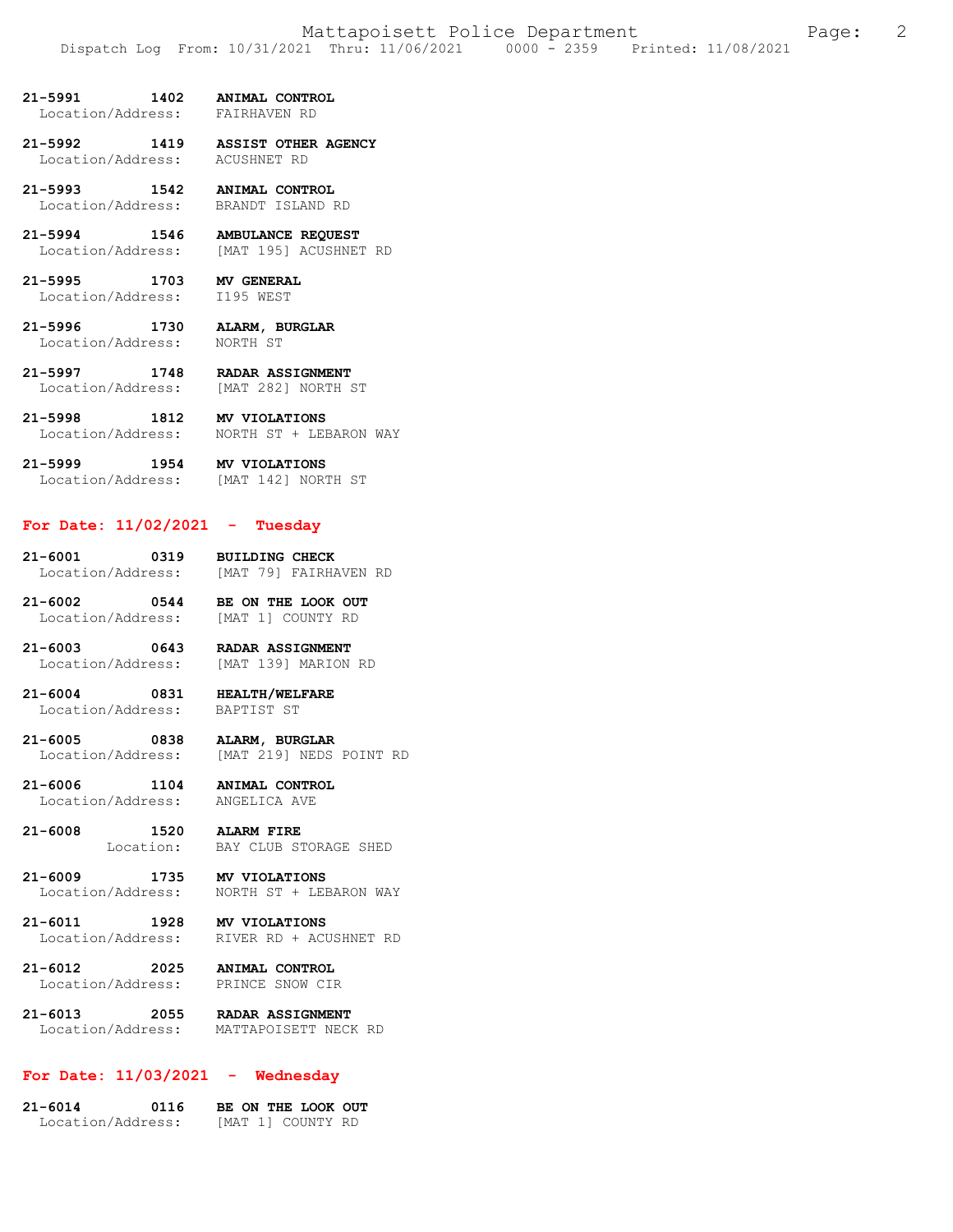- **21-5991 1402 ANIMAL CONTROL** 
	- Location/Address:

**21-5992 1419 ASSIST OTHER AGENCY**  Location/Address: ACUSHNET RD

**21-5993 1542 ANIMAL CONTROL**  Location/Address: BRANDT ISLAND RD

**21-5994 1546 AMBULANCE REQUEST**  Location/Address: [MAT 195] ACUSHNET RD

**21-5995 1703 MV GENERAL**  Location/Address: I195 WEST

**21-5996 1730 ALARM, BURGLAR**  Location/Address:

**21-5997 1748 RADAR ASSIGNMENT**  Location/Address: [MAT 282] NORTH ST

**21-5998 1812 MV VIOLATIONS**  Location/Address: NORTH ST + LEBARON WAY

**21-5999 1954 MV VIOLATIONS**  Location/Address: [MAT 142] NORTH ST

## **For Date: 11/02/2021 - Tuesday**

21-6001 0319 BUILDING CHECK<br>Location/Address: [MAT 79] FAIRHAVEN RD Location/Address:

**21-6002 0544 BE ON THE LOOK OUT**  Location/Address:

**21-6003 0643 RADAR ASSIGNMENT**  Location/Address: [MAT 139] MARION RD

**21-6004 0831 HEALTH/WELFARE**  Location/Address: BAPTIST ST

**21-6005 0838 ALARM, BURGLAR**  [MAT 219] NEDS POINT RD

**21-6006 1104 ANIMAL CONTROL**  Location/Address:

**21-6008 1520 ALARM FIRE**  BAY CLUB STORAGE SHED

**21-6009 1735 MV VIOLATIONS**  NORTH ST + LEBARON WAY

**21-6011 1928 MV VIOLATIONS**  Location/Address: RIVER RD + ACUSHNET RD

**21-6012 2025 ANIMAL CONTROL**  Location/Address: PRINCE SNOW CIR

**21-6013 2055 RADAR ASSIGNMENT**  Location/Address: MATTAPOISETT NECK RD

# **For Date: 11/03/2021 - Wednesday**

**21-6014 0116 BE ON THE LOOK OUT**  Location/Address: [MAT 1] COUNTY RD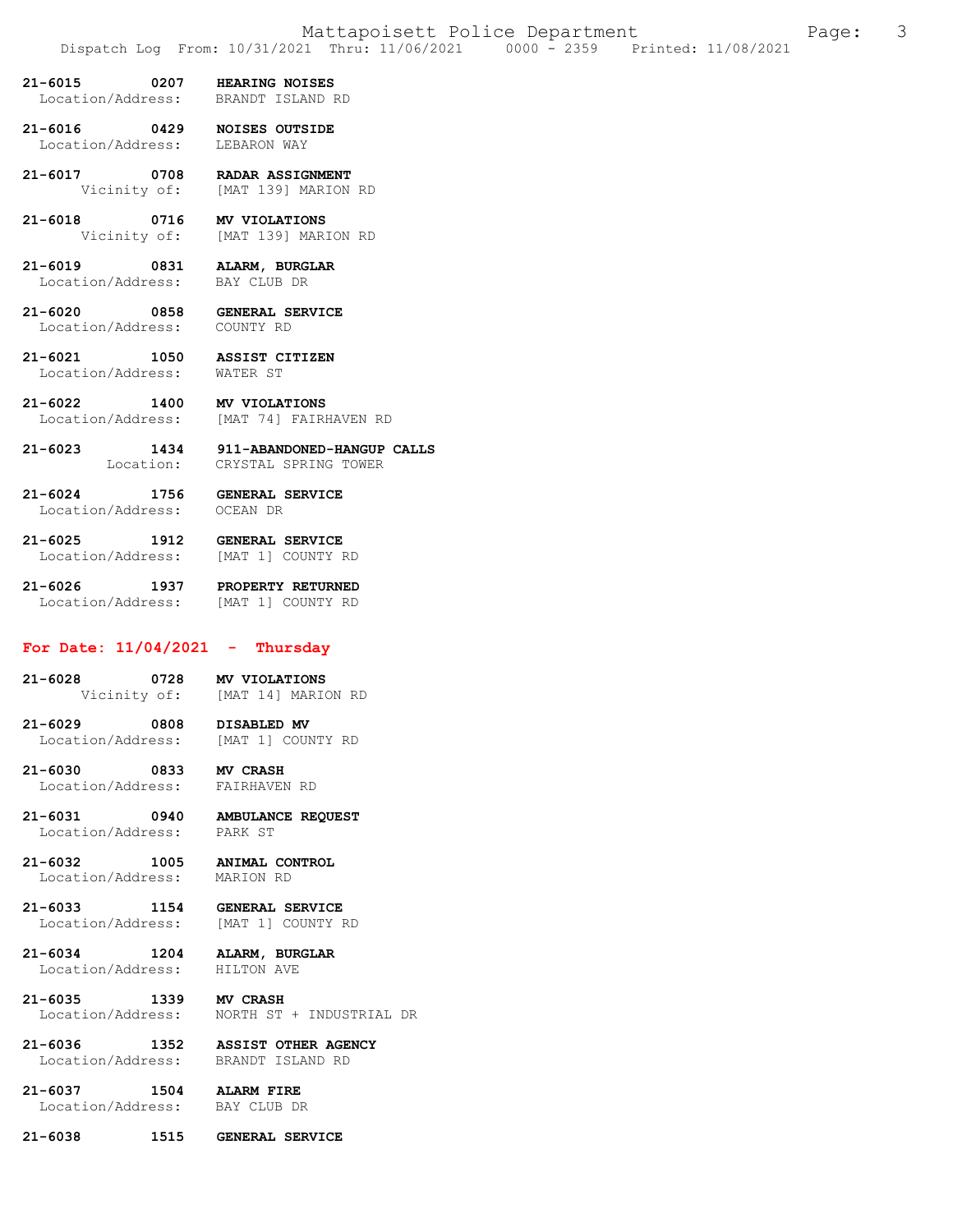- **21-6015 0207 HEARING NOISES**  Location/Address:
- **21-6016 0429 NOISES OUTSIDE**  Location/Address:
- **21-6017 0708 RADAR ASSIGNMENT**  Vicinity of: [MAT 139] MARION RD
- **21-6018 0716 MV VIOLATIONS**  Vicinity of: [MAT 139] MARION RD
- **21-6019 0831 ALARM, BURGLAR**  Location/Address:
- **21-6020 0858 GENERAL SERVICE**  Location/Address:
- **21-6021 1050 ASSIST CITIZEN**  Location/Address: WATER ST
- **21-6022 1400 MV VIOLATIONS**  [MAT 74] FAIRHAVEN RD
- **21-6023 1434 911-ABANDONED-HANGUP CALLS**  Location: CRYSTAL SPRING TOWER
- **21-6024 1756 GENERAL SERVICE**  Location/Address:
- **21-6025 1912 GENERAL SERVICE**  [MAT 1] COUNTY RD
- **21-6026 1937 PROPERTY RETURNED**  Location/Address: [MAT 1] COUNTY RD

### **For Date: 11/04/2021 - Thursday**

- **21-6028 0728 MV VIOLATIONS**  [MAT 14] MARION RD
- 21-6029 0808 DISABLED MV<br>Location/Address: [MAT 1] COUNTY RD Location/Address:
- **21-6030 0833 MV CRASH**  Location/Address:
	-
- **21-6031 0940 AMBULANCE REQUEST**  Location/Address: PARK ST
- **21-6032 1005 ANIMAL CONTROL**  Location/Address:
- **21-6033 1154 GENERAL SERVICE**  [MAT 1] COUNTY RD
- **21-6034 1204 ALARM, BURGLAR**  Location/Address:
- 
- **21-6035 1339 MV CRASH**  Location/Address: NORTH ST + INDUSTRIAL DR
- **21-6036 1352 ASSIST OTHER AGENCY**  Location/Address: BRANDT ISLAND RD
- **21-6037 1504 ALARM FIRE**  Location/Address:
- **21-6038 1515 GENERAL SERVICE**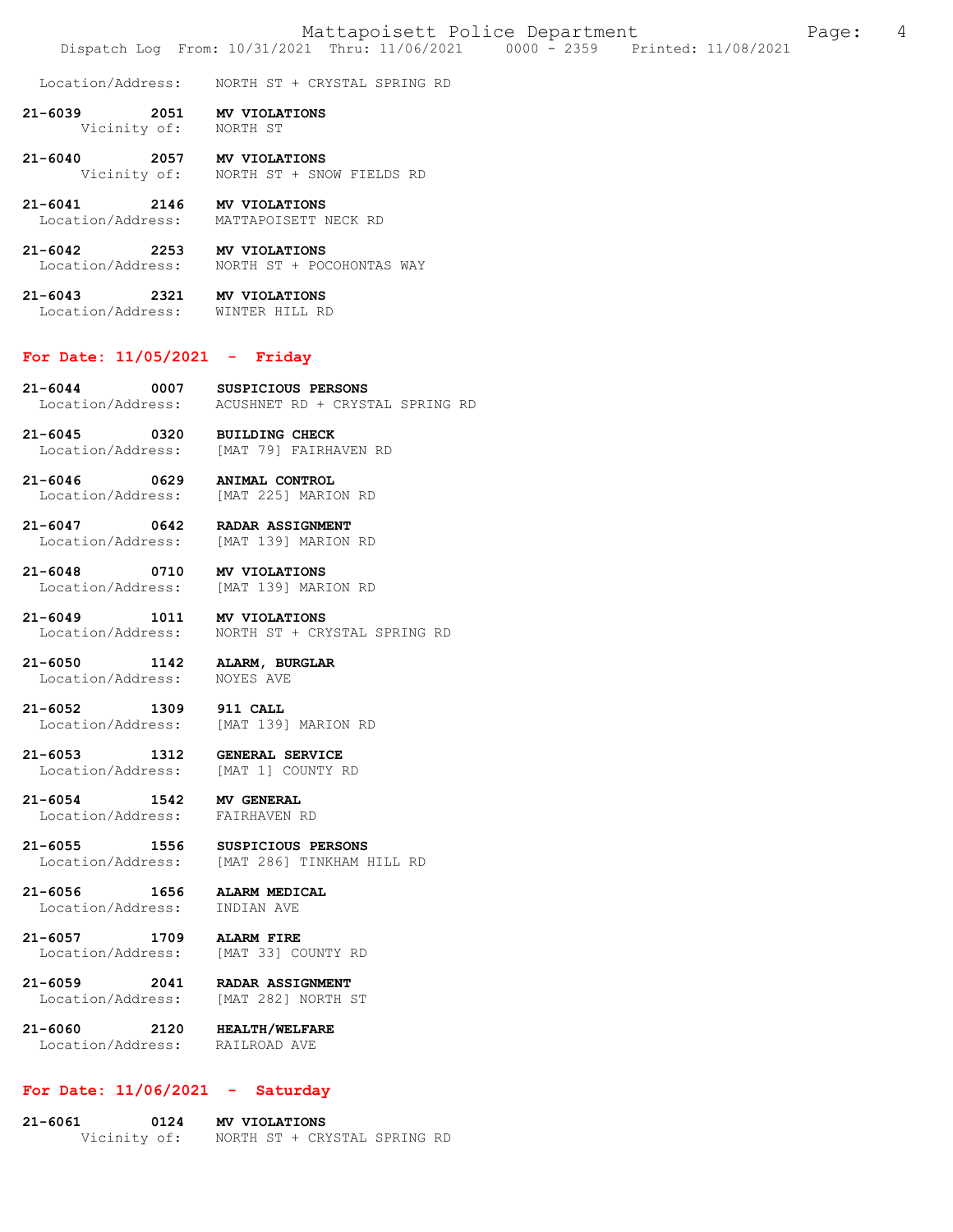Location/Address: NORTH ST + CRYSTAL SPRING RD

- 21-6039 2051 **MV VIOLATIONS**<br>Vicinity of: NORTH ST Vicinity of:
- **21-6040 2057 MV VIOLATIONS**  NORTH ST + SNOW FIELDS RD
- **21-6041 2146 MV VIOLATIONS**  Location/Address: MATTAPOISETT NECK RD
- **21-6042 2253 MV VIOLATIONS**  Location/Address: NORTH ST + POCOHONTAS WAY
- **21-6043 2321 MV VIOLATIONS**  Location/Address: WINTER HILL RD

#### **For Date: 11/05/2021 - Friday**

- **21-6044 0007 SUSPICIOUS PERSONS**  Location/Address: ACUSHNET RD + CRYSTAL SPRING RD
- **21-6045 0320 BUILDING CHECK**  Location/Address: [MAT 79] FAIRHAVEN RD
- **21-6046 0629 ANIMAL CONTROL**  Location/Address: [MAT 225] MARION RD
- **21-6047 0642 RADAR ASSIGNMENT**  Location/Address: [MAT 139] MARION RD
- **21-6048 0710 MV VIOLATIONS**  [MAT 139] MARION RD
- 21-6049 1011 MV VIOLATIONS<br>Location/Address: NORTH ST + CR) Location/Address: NORTH ST + CRYSTAL SPRING RD
- **21-6050 1142 ALARM, BURGLAR**  Location/Address:
- **21-6052 1309 911 CALL**  Location/Address: [MAT 139] MARION RD
- **21-6053 1312 GENERAL SERVICE**  Location/Address:
- **21-6054 1542 MV GENERAL** 
	- Location/Address: FAIRHAVEN RD
- **21-6055 1556 SUSPICIOUS PERSONS**  Location/Address: [MAT 286] TINKHAM HILL RD
- **21-6056 1656 ALARM MEDICAL**  Location/Address:
- **21-6057 1709 ALARM FIRE**  Location/Address: [MAT 33] COUNTY RD
- **21-6059 2041 RADAR ASSIGNMENT**  [MAT 282] NORTH ST
- **21-6060 2120 HEALTH/WELFARE**  Location/Address:

### **For Date: 11/06/2021 - Saturday**

**21-6061 0124 MV VIOLATIONS**  Vicinity of: NORTH ST + CRYSTAL SPRING RD